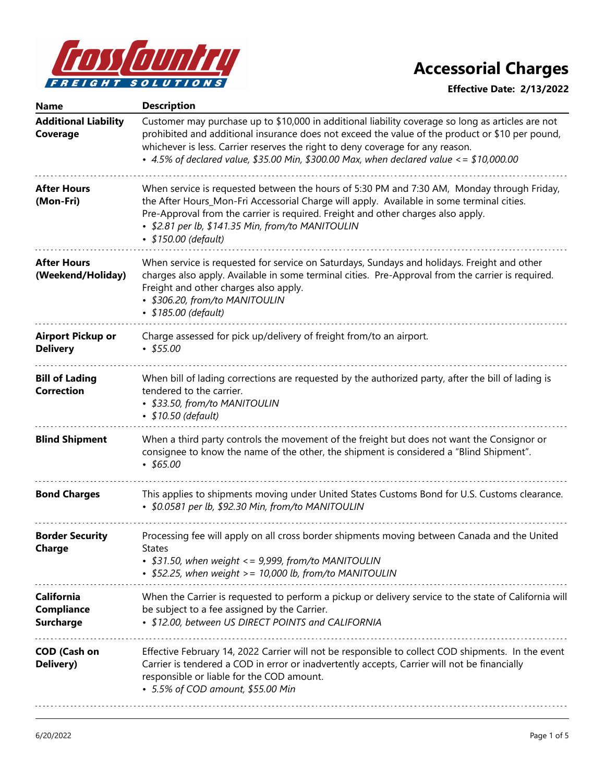

| <b>Name</b>                                                | <b>Description</b>                                                                                                                                                                                                                                                                                                                                                                |
|------------------------------------------------------------|-----------------------------------------------------------------------------------------------------------------------------------------------------------------------------------------------------------------------------------------------------------------------------------------------------------------------------------------------------------------------------------|
| <b>Additional Liability</b><br>Coverage                    | Customer may purchase up to \$10,000 in additional liability coverage so long as articles are not<br>prohibited and additional insurance does not exceed the value of the product or \$10 per pound,<br>whichever is less. Carrier reserves the right to deny coverage for any reason.<br>• 4.5% of declared value, \$35.00 Min, \$300.00 Max, when declared value <= \$10,000.00 |
| <b>After Hours</b><br>(Mon-Fri)                            | When service is requested between the hours of 5:30 PM and 7:30 AM, Monday through Friday,<br>the After Hours_Mon-Fri Accessorial Charge will apply. Available in some terminal cities.<br>Pre-Approval from the carrier is required. Freight and other charges also apply.<br>• \$2.81 per lb, \$141.35 Min, from/to MANITOULIN<br>• \$150.00 (default)                          |
| <b>After Hours</b><br>(Weekend/Holiday)                    | When service is requested for service on Saturdays, Sundays and holidays. Freight and other<br>charges also apply. Available in some terminal cities. Pre-Approval from the carrier is required.<br>Freight and other charges also apply.<br>• \$306.20, from/to MANITOULIN<br>• \$185.00 (default)                                                                               |
| <b>Airport Pickup or</b><br><b>Delivery</b>                | Charge assessed for pick up/delivery of freight from/to an airport.<br>$\cdot$ \$55.00                                                                                                                                                                                                                                                                                            |
| <b>Bill of Lading</b><br><b>Correction</b>                 | When bill of lading corrections are requested by the authorized party, after the bill of lading is<br>tendered to the carrier.<br>• \$33.50, from/to MANITOULIN<br>• \$10.50 (default)                                                                                                                                                                                            |
| <b>Blind Shipment</b>                                      | When a third party controls the movement of the freight but does not want the Consignor or<br>consignee to know the name of the other, the shipment is considered a "Blind Shipment".<br>$*$ \$65.00                                                                                                                                                                              |
| <b>Bond Charges</b>                                        | This applies to shipments moving under United States Customs Bond for U.S. Customs clearance.<br>• \$0.0581 per lb, \$92.30 Min, from/to MANITOULIN                                                                                                                                                                                                                               |
| <b>Border Security</b><br>Charge                           | Processing fee will apply on all cross border shipments moving between Canada and the United<br><b>States</b><br>• \$31.50, when weight $\langle 5.999, \text{ from/to}$ MANITOULIN<br>• \$52.25, when weight >= 10,000 lb, from/to MANITOULIN                                                                                                                                    |
| <b>California</b><br><b>Compliance</b><br><b>Surcharge</b> | When the Carrier is requested to perform a pickup or delivery service to the state of California will<br>be subject to a fee assigned by the Carrier.<br>• \$12.00, between US DIRECT POINTS and CALIFORNIA                                                                                                                                                                       |
| <b>COD (Cash on</b><br>Delivery)                           | Effective February 14, 2022 Carrier will not be responsible to collect COD shipments. In the event<br>Carrier is tendered a COD in error or inadvertently accepts, Carrier will not be financially<br>responsible or liable for the COD amount.<br>• 5.5% of COD amount, \$55.00 Min                                                                                              |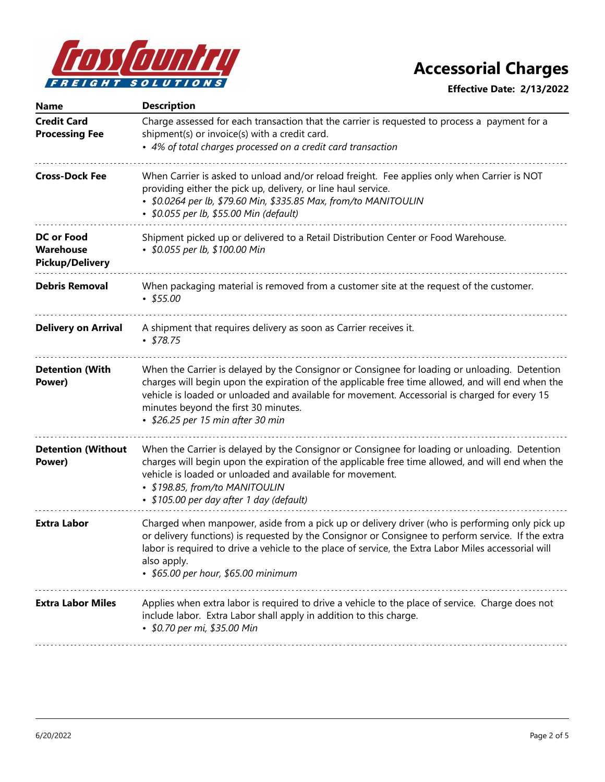

| <b>Name</b>                                              | <b>Description</b>                                                                                                                                                                                                                                                                                                                                                               |
|----------------------------------------------------------|----------------------------------------------------------------------------------------------------------------------------------------------------------------------------------------------------------------------------------------------------------------------------------------------------------------------------------------------------------------------------------|
| <b>Credit Card</b><br><b>Processing Fee</b>              | Charge assessed for each transaction that the carrier is requested to process a payment for a<br>shipment(s) or invoice(s) with a credit card.                                                                                                                                                                                                                                   |
|                                                          | • 4% of total charges processed on a credit card transaction                                                                                                                                                                                                                                                                                                                     |
| <b>Cross-Dock Fee</b>                                    | When Carrier is asked to unload and/or reload freight. Fee applies only when Carrier is NOT<br>providing either the pick up, delivery, or line haul service.<br>• \$0.0264 per lb, \$79.60 Min, \$335.85 Max, from/to MANITOULIN<br>• \$0.055 per lb, \$55.00 Min (default)                                                                                                      |
| <b>DC or Food</b><br>Warehouse<br><b>Pickup/Delivery</b> | Shipment picked up or delivered to a Retail Distribution Center or Food Warehouse.<br>• \$0.055 per lb, \$100.00 Min                                                                                                                                                                                                                                                             |
| <b>Debris Removal</b>                                    | When packaging material is removed from a customer site at the request of the customer.<br>$\cdot$ \$55.00                                                                                                                                                                                                                                                                       |
| <b>Delivery on Arrival</b>                               | A shipment that requires delivery as soon as Carrier receives it.<br>$\cdot$ \$78.75                                                                                                                                                                                                                                                                                             |
| <b>Detention (With</b><br>Power)                         | When the Carrier is delayed by the Consignor or Consignee for loading or unloading. Detention<br>charges will begin upon the expiration of the applicable free time allowed, and will end when the<br>vehicle is loaded or unloaded and available for movement. Accessorial is charged for every 15<br>minutes beyond the first 30 minutes.<br>• \$26.25 per 15 min after 30 min |
| <b>Detention (Without</b><br>Power)                      | When the Carrier is delayed by the Consignor or Consignee for loading or unloading. Detention<br>charges will begin upon the expiration of the applicable free time allowed, and will end when the<br>vehicle is loaded or unloaded and available for movement.<br>• \$198.85, from/to MANITOULIN<br>• \$105.00 per day after 1 day (default)                                    |
| <b>Extra Labor</b>                                       | Charged when manpower, aside from a pick up or delivery driver (who is performing only pick up<br>or delivery functions) is requested by the Consignor or Consignee to perform service. If the extra<br>labor is required to drive a vehicle to the place of service, the Extra Labor Miles accessorial will<br>also apply.<br>• \$65.00 per hour, \$65.00 minimum               |
| <b>Extra Labor Miles</b>                                 | Applies when extra labor is required to drive a vehicle to the place of service. Charge does not<br>include labor. Extra Labor shall apply in addition to this charge.<br>• \$0.70 per mi, \$35.00 Min                                                                                                                                                                           |
|                                                          |                                                                                                                                                                                                                                                                                                                                                                                  |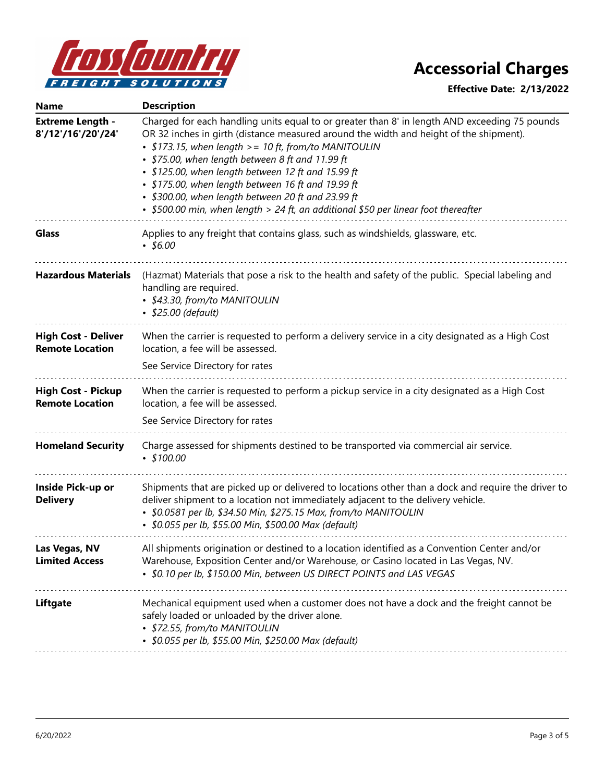

| <b>Name</b>                                          | <b>Description</b>                                                                                                                                                                                                                                                                                                                                                                                                                                                                                                                                          |
|------------------------------------------------------|-------------------------------------------------------------------------------------------------------------------------------------------------------------------------------------------------------------------------------------------------------------------------------------------------------------------------------------------------------------------------------------------------------------------------------------------------------------------------------------------------------------------------------------------------------------|
| <b>Extreme Length -</b><br>8'/12'/16'/20'/24'        | Charged for each handling units equal to or greater than 8' in length AND exceeding 75 pounds<br>OR 32 inches in girth (distance measured around the width and height of the shipment).<br>• \$173.15, when length >= 10 ft, from/to MANITOULIN<br>• \$75.00, when length between 8 ft and 11.99 ft<br>· \$125.00, when length between 12 ft and 15.99 ft<br>· \$175.00, when length between 16 ft and 19.99 ft<br>• \$300.00, when length between 20 ft and 23.99 ft<br>• \$500.00 min, when length > 24 ft, an additional \$50 per linear foot thereafter |
| <b>Glass</b>                                         | Applies to any freight that contains glass, such as windshields, glassware, etc.<br>$•$ \$6.00                                                                                                                                                                                                                                                                                                                                                                                                                                                              |
| <b>Hazardous Materials</b>                           | (Hazmat) Materials that pose a risk to the health and safety of the public. Special labeling and<br>handling are required.<br>• \$43.30, from/to MANITOULIN<br>• \$25.00 (default)                                                                                                                                                                                                                                                                                                                                                                          |
| <b>High Cost - Deliver</b><br><b>Remote Location</b> | When the carrier is requested to perform a delivery service in a city designated as a High Cost<br>location, a fee will be assessed.<br>See Service Directory for rates                                                                                                                                                                                                                                                                                                                                                                                     |
| <b>High Cost - Pickup</b><br><b>Remote Location</b>  | When the carrier is requested to perform a pickup service in a city designated as a High Cost<br>location, a fee will be assessed.<br>See Service Directory for rates                                                                                                                                                                                                                                                                                                                                                                                       |
| <b>Homeland Security</b>                             | Charge assessed for shipments destined to be transported via commercial air service.<br>$\cdot$ \$100.00                                                                                                                                                                                                                                                                                                                                                                                                                                                    |
| Inside Pick-up or<br><b>Delivery</b>                 | Shipments that are picked up or delivered to locations other than a dock and require the driver to<br>deliver shipment to a location not immediately adjacent to the delivery vehicle.<br>• \$0.0581 per lb, \$34.50 Min, \$275.15 Max, from/to MANITOULIN<br>• \$0.055 per lb, \$55.00 Min, \$500.00 Max (default)                                                                                                                                                                                                                                         |
| Las Vegas, NV<br><b>Limited Access</b>               | All shipments origination or destined to a location identified as a Convention Center and/or<br>Warehouse, Exposition Center and/or Warehouse, or Casino located in Las Vegas, NV.<br>• \$0.10 per lb, \$150.00 Min, between US DIRECT POINTS and LAS VEGAS                                                                                                                                                                                                                                                                                                 |
| Liftgate                                             | Mechanical equipment used when a customer does not have a dock and the freight cannot be<br>safely loaded or unloaded by the driver alone.<br>• \$72.55, from/to MANITOULIN<br>• \$0.055 per lb, \$55.00 Min, \$250.00 Max (default)                                                                                                                                                                                                                                                                                                                        |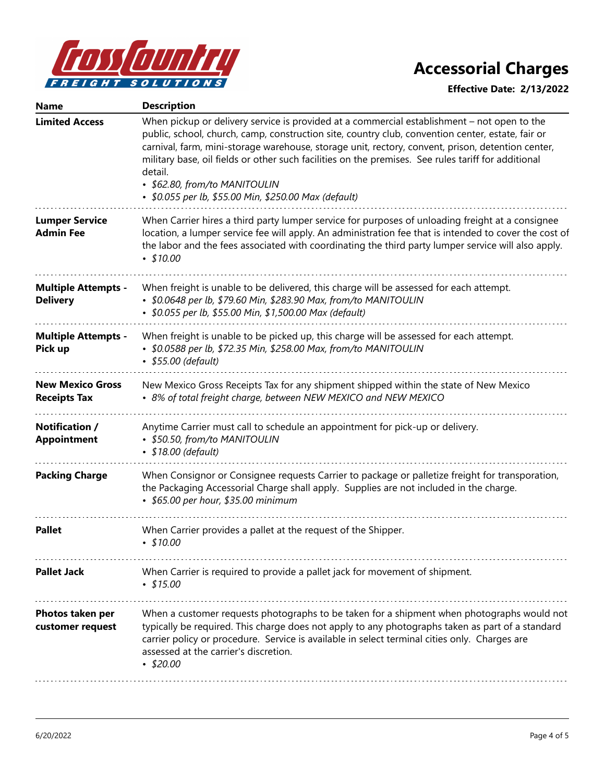

| <b>Name</b>                                    | <b>Description</b>                                                                                                                                                                                                                                                                                                                                                                                                                                                                                                |
|------------------------------------------------|-------------------------------------------------------------------------------------------------------------------------------------------------------------------------------------------------------------------------------------------------------------------------------------------------------------------------------------------------------------------------------------------------------------------------------------------------------------------------------------------------------------------|
| <b>Limited Access</b>                          | When pickup or delivery service is provided at a commercial establishment – not open to the<br>public, school, church, camp, construction site, country club, convention center, estate, fair or<br>carnival, farm, mini-storage warehouse, storage unit, rectory, convent, prison, detention center,<br>military base, oil fields or other such facilities on the premises. See rules tariff for additional<br>detail.<br>• \$62.80, from/to MANITOULIN<br>• \$0.055 per lb, \$55.00 Min, \$250.00 Max (default) |
| <b>Lumper Service</b><br><b>Admin Fee</b>      | When Carrier hires a third party lumper service for purposes of unloading freight at a consignee<br>location, a lumper service fee will apply. An administration fee that is intended to cover the cost of<br>the labor and the fees associated with coordinating the third party lumper service will also apply.<br>$\cdot$ \$10.00                                                                                                                                                                              |
| <b>Multiple Attempts -</b><br><b>Delivery</b>  | When freight is unable to be delivered, this charge will be assessed for each attempt.<br>• \$0.0648 per lb, \$79.60 Min, \$283.90 Max, from/to MANITOULIN<br>• \$0.055 per lb, \$55.00 Min, \$1,500.00 Max (default)                                                                                                                                                                                                                                                                                             |
| <b>Multiple Attempts -</b><br>Pick up          | When freight is unable to be picked up, this charge will be assessed for each attempt.<br>• \$0.0588 per lb, \$72.35 Min, \$258.00 Max, from/to MANITOULIN<br>• \$55.00 (default)                                                                                                                                                                                                                                                                                                                                 |
| <b>New Mexico Gross</b><br><b>Receipts Tax</b> | New Mexico Gross Receipts Tax for any shipment shipped within the state of New Mexico<br>• 8% of total freight charge, between NEW MEXICO and NEW MEXICO                                                                                                                                                                                                                                                                                                                                                          |
| Notification /<br><b>Appointment</b>           | Anytime Carrier must call to schedule an appointment for pick-up or delivery.<br>• \$50.50, from/to MANITOULIN<br>• \$18.00 (default)                                                                                                                                                                                                                                                                                                                                                                             |
| <b>Packing Charge</b>                          | When Consignor or Consignee requests Carrier to package or palletize freight for transporation,<br>the Packaging Accessorial Charge shall apply. Supplies are not included in the charge.<br>• \$65.00 per hour, \$35.00 minimum                                                                                                                                                                                                                                                                                  |
| <b>Pallet</b>                                  | When Carrier provides a pallet at the request of the Shipper.<br>$\cdot$ \$10.00                                                                                                                                                                                                                                                                                                                                                                                                                                  |
| <b>Pallet Jack</b>                             | When Carrier is required to provide a pallet jack for movement of shipment.<br>$\cdot$ \$15.00                                                                                                                                                                                                                                                                                                                                                                                                                    |
| Photos taken per<br>customer request           | When a customer requests photographs to be taken for a shipment when photographs would not<br>typically be required. This charge does not apply to any photographs taken as part of a standard<br>carrier policy or procedure. Service is available in select terminal cities only. Charges are<br>assessed at the carrier's discretion.<br>$\cdot$ \$20.00                                                                                                                                                       |